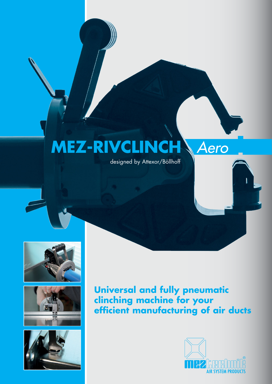## **MEZ-RIVCLINCH** *Aero*

designed by Attexor/Böllhoff







**Universal and fully pneumatic clinching machine for your efficient manufacturing of air ducts**